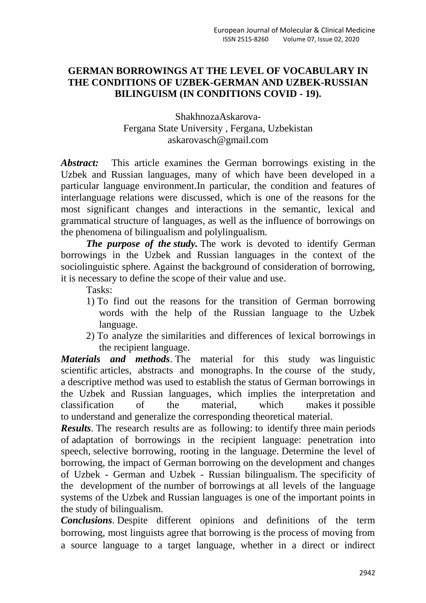## **GERMAN BORROWINGS AT THE LEVEL OF VOCABULARY IN THE CONDITIONS OF UZBEK-GERMAN AND UZBEK-RUSSIAN BILINGUISM (IN CONDITIONS COVID - 19).**

## ShakhnozaAskarova-Fergana State University , Fergana, Uzbekistan askarovasch@gmail.com

*Abstract:* This article examines the German borrowings existing in the Uzbek and Russian languages, many of which have been developed in a particular language environment.In particular, the condition and features of interlanguage relations were discussed, which is one of the reasons for the most significant changes and interactions in the semantic, lexical and grammatical structure of languages, as well as the influence of borrowings on the phenomena of bilingualism and polylingualism.

*The purpose of the study.* The work is devoted to identify German borrowings in the Uzbek and Russian languages in the context of the sociolinguistic sphere. Against the background of consideration of borrowing, it is necessary to define the scope of their value and use.

Tasks:

- 1) To find out the reasons for the transition of German borrowing words with the help of the Russian language to the Uzbek language.
- 2) To analyze the similarities and differences of lexical borrowings in the recipient language.

*Materials and methods*. The material for this study was linguistic scientific articles, abstracts and monographs. In the course of the study, a descriptive method was used to establish the status of German borrowings in the Uzbek and Russian languages, which implies the interpretation and classification of the material, which makes it possible to understand and generalize the corresponding theoretical material.

*Results*. The research results are as following: to identify three main periods of adaptation of borrowings in the recipient language: penetration into speech, selective borrowing, rooting in the language. Determine the level of borrowing, the impact of German borrowing on the development and changes of Uzbek - German and Uzbek - Russian bilingualism. The specificity of the development of the number of borrowings at all levels of the language systems of the Uzbek and Russian languages is one of the important points in the study of bilingualism.

*Conclusions*. Despite different opinions and definitions of the term borrowing, most linguists agree that borrowing is the process of moving from a source language to a target language, whether in a direct or indirect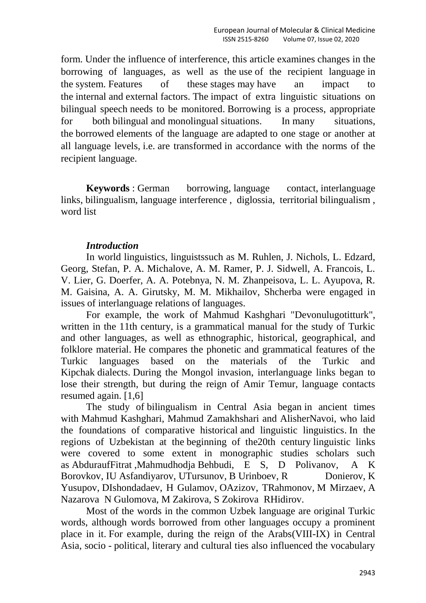form. Under the influence of interference, this article examines changes in the borrowing of languages, as well as the use of the recipient language in the system. Features of these stages may have an impact to the internal and external factors. The impact of extra linguistic situations on bilingual speech needs to be monitored. Borrowing is a process, appropriate for both bilingual and monolingual situations. In many situations, the borrowed elements of the language are adapted to one stage or another at all language levels, i.e. are transformed in accordance with the norms of the recipient language.

**Keywords**: German borrowing, language contact, interlanguage links, bilingualism, language interference , diglossia, territorial bilingualism , word list

## *Introduction*

In world linguistics, linguistssuch as M. Ruhlen, J. Nichols, L. Edzard, Georg, Stefan, P. A. Michalove, A. M. Ramer, P. J. Sidwell, A. Francois, L. V. Lier, G. Doerfer, A. A. Potebnya, N. M. Zhanpeisova, L. L. Ayupova, R. M. Gaisina, A. A. Girutsky, M. M. Mikhailov, Shcherba were engaged in issues of interlanguage relations of languages.

For example, the work of Mahmud Kashghari "Devonulugotitturk", written in the 11th century, is a grammatical manual for the study of Turkic and other languages, as well as ethnographic, historical, geographical, and folklore material. He compares the phonetic and grammatical features of the Turkic languages based on the materials of the Turkic and Kipchak dialects. During the Mongol invasion, interlanguage links began to lose their strength, but during the reign of Amir Temur, language contacts resumed again. [1,6]

The study of bilingualism in Central Asia began in ancient times with Mahmud Kashghari, Mahmud Zamakhshari and AlisherNavoi, who laid the foundations of comparative historical and linguistic linguistics. In the regions of Uzbekistan at the beginning of the20th century linguistic links were covered to some extent in monographic studies scholars such as AbduraufFitrat ,Mahmudhodja Behbudi, E S, D Polivanov, A K Borovkov, IU Asfandiyarov, UTursunov, B Urinboev, R Donierov, K Yusupov, DIshondadaev, H Gulamov, OAzizov, TRahmonov, M Mirzaev, A Nazarova N Gulomova, M Zakirova, S Zokirova RHidirov.

Most of the words in the common Uzbek language are original Turkic words, although words borrowed from other languages occupy a prominent place in it. For example, during the reign of the Arabs(VIII-IX) in Central Asia, socio - political, literary and cultural ties also influenced the vocabulary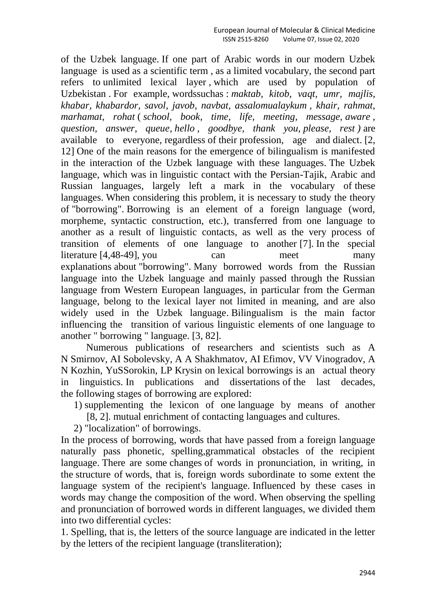of the Uzbek language. If one part of Arabic words in our modern Uzbek language is used as a scientific term , as a limited vocabulary, the second part refers to unlimited lexical layer , which are used by population of Uzbekistan . For example, wordssuchas : *maktab, kitob, vaqt, umr, majlis, khabar, khabardor, savol, javob, navbat, assalomualaykum , khair, rahmat, marhamat, rohat* ( *school, book, time, life, meeting, message, aware , question, answer, queue, hello , goodbye, thank you, please, rest )* are available to everyone, regardless of their profession, age and dialect. [2, 12] One of the main reasons for the emergence of bilingualism is manifested in the interaction of the Uzbek language with these languages. The Uzbek language, which was in linguistic contact with the Persian-Tajik, Arabic and Russian languages, largely left a mark in the vocabulary of these languages. When considering this problem, it is necessary to study the theory of "borrowing". Borrowing is an element of a foreign language (word, morpheme, syntactic construction, etc.), transferred from one language to another as a result of linguistic contacts, as well as the very process of transition of elements of one language to another [7]. In the special literature [4,48-49], you can meet many explanations about "borrowing". Many borrowed words from the Russian language into the Uzbek language and mainly passed through the Russian language from Western European languages, in particular from the German language, belong to the lexical layer not limited in meaning, and are also widely used in the Uzbek language. Bilingualism is the main factor influencing the transition of various linguistic elements of one language to another " borrowing " language. [3, 82].

Numerous publications of researchers and scientists such as A N Smirnov, AI Sobolevsky, A A Shakhmatov, AI Efimov, VV Vinogradov, A N Kozhin, YuSSorokin, LP Krysin on lexical borrowings is an actual theory in linguistics. In publications and dissertations of the last decades, the following stages of borrowing are explored:

- 1) supplementing the lexicon of one language by means of another
	- [8, 2]. mutual enrichment of contacting languages and cultures.
- 2) "localization" of borrowings.

In the process of borrowing, words that have passed from a foreign language naturally pass phonetic, spelling,grammatical obstacles of the recipient language. There are some changes of words in pronunciation, in writing, in the structure of words, that is, foreign words subordinate to some extent the language system of the recipient's language. Influenced by these cases in words may change the composition of the word. When observing the spelling and pronunciation of borrowed words in different languages, we divided them into two differential cycles:

1. Spelling, that is, the letters of the source language are indicated in the letter by the letters of the recipient language (transliteration);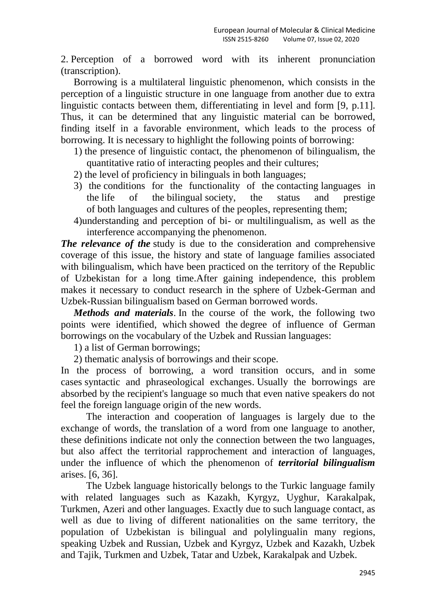2. Perception of a borrowed word with its inherent pronunciation (transcription).

Borrowing is a multilateral linguistic phenomenon, which consists in the perception of a linguistic structure in one language from another due to extra linguistic contacts between them, differentiating in level and form [9, p.11]. Thus, it can be determined that any linguistic material can be borrowed, finding itself in a favorable environment, which leads to the process of borrowing. It is necessary to highlight the following points of borrowing:

- 1) the presence of linguistic contact, the phenomenon of bilingualism, the quantitative ratio of interacting peoples and their cultures;
- 2) the level of proficiency in bilinguals in both languages;
- 3) the conditions for the functionality of the contacting languages in the life of the bilingual society, the status and prestige of both languages and cultures of the peoples, representing them;
- 4)understanding and perception of bi- or multilingualism, as well as the interference accompanying the phenomenon.

*The relevance of the* study is due to the consideration and comprehensive coverage of this issue, the history and state of language families associated with bilingualism, which have been practiced on the territory of the Republic of Uzbekistan for a long time.After gaining independence, this problem makes it necessary to conduct research in the sphere of Uzbek-German and Uzbek-Russian bilingualism based on German borrowed words.

*Methods and materials*. In the course of the work, the following two points were identified, which showed the degree of influence of German borrowings on the vocabulary of the Uzbek and Russian languages:

1) a list of German borrowings;

2) thematic analysis of borrowings and their scope.

In the process of borrowing, a word transition occurs, and in some cases syntactic and phraseological exchanges. Usually the borrowings are absorbed by the recipient's language so much that even native speakers do not feel the foreign language origin of the new words.

The interaction and cooperation of languages is largely due to the exchange of words, the translation of a word from one language to another, these definitions indicate not only the connection between the two languages, but also affect the territorial rapprochement and interaction of languages, under the influence of which the phenomenon of *territorial bilingualism* arises. [6, 36].

The Uzbek language historically belongs to the Turkic language family with related languages such as Kazakh, Kyrgyz, Uyghur, Karakalpak, Turkmen, Azeri and other languages. Exactly due to such language contact, as well as due to living of different nationalities on the same territory, the population of Uzbekistan is bilingual and polylingualin many regions, speaking Uzbek and Russian, Uzbek and Kyrgyz, Uzbek and Kazakh, Uzbek and Tajik, Turkmen and Uzbek, Tatar and Uzbek, Karakalpak and Uzbek.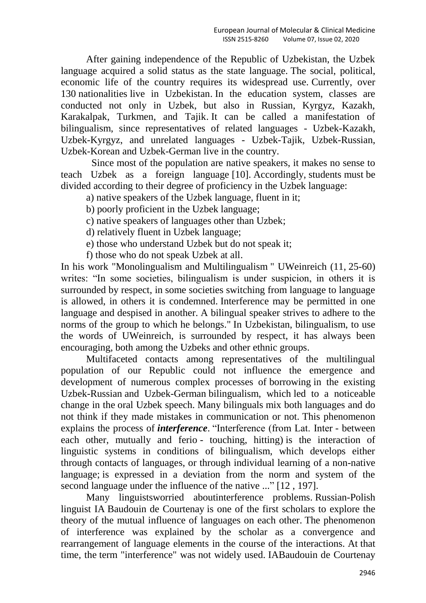After gaining independence of the Republic of Uzbekistan, the Uzbek language acquired a solid status as the state language. The social, political, economic life of the country requires its widespread use. Currently, over 130 nationalities live in Uzbekistan. In the education system, classes are conducted not only in Uzbek, but also in Russian, Kyrgyz, Kazakh, Karakalpak, Turkmen, and Tajik. It can be called a manifestation of bilingualism, since representatives of related languages - Uzbek-Kazakh, Uzbek-Kyrgyz, and unrelated languages - Uzbek-Tajik, Uzbek-Russian, Uzbek-Korean and Uzbek-German live in the country.

Since most of the population are native speakers, it makes no sense to teach Uzbek as a foreign language [10]. Accordingly, students must be divided according to their degree of proficiency in the Uzbek language:

a) native speakers of the Uzbek language, fluent in it;

b) poorly proficient in the Uzbek language;

c) native speakers of languages other than Uzbek;

d) relatively fluent in Uzbek language;

e) those who understand Uzbek but do not speak it;

f) those who do not speak Uzbek at all.

In his work "Monolingualism and Multilingualism " UWeinreich (11, 25-60) writes: "In some societies, bilingualism is under suspicion, in others it is surrounded by respect, in some societies switching from language to language is allowed, in others it is condemned. Interference may be permitted in one language and despised in another. A bilingual speaker strives to adhere to the norms of the group to which he belongs." In Uzbekistan, bilingualism, to use the words of UWeinreich, is surrounded by respect, it has always been encouraging, both among the Uzbeks and other ethnic groups.

Multifaceted contacts among representatives of the multilingual population of our Republic could not influence the emergence and development of numerous complex processes of borrowing in the existing Uzbek-Russian and Uzbek-German bilingualism, which led to a noticeable change in the oral Uzbek speech. Many bilinguals mix both languages and do not think if they made mistakes in communication or not. This phenomenon explains the process of *interference*. "Interference (from Lat. Inter - between each other, mutually and ferio - touching, hitting) is the interaction of linguistic systems in conditions of bilingualism, which develops either through contacts of languages, or through individual learning of a non-native language; is expressed in a deviation from the norm and system of the second language under the influence of the native ..." [12 , 197].

Many linguistsworried aboutinterference problems. Russian-Polish linguist IA Baudouin de Courtenay is one of the first scholars to explore the theory of the mutual influence of languages on each other. The phenomenon of interference was explained by the scholar as a convergence and rearrangement of language elements in the course of the interactions. At that time, the term "interference" was not widely used. IABaudouin de Courtenay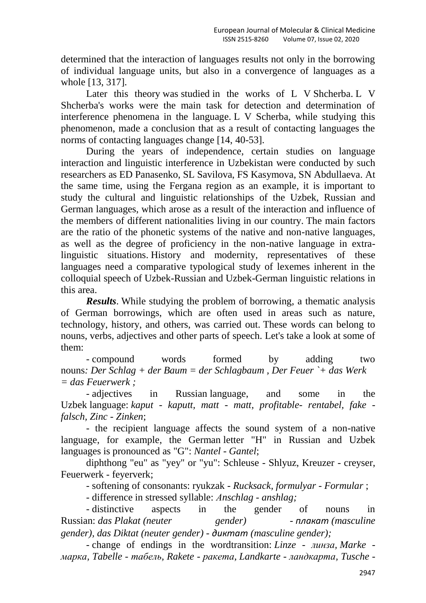determined that the interaction of languages results not only in the borrowing of individual language units, but also in a convergence of languages as a whole [13, 317].

Later this theory was studied in the works of L V Shcherba. L V Shcherba's works were the main task for detection and determination of interference phenomena in the language. L V Scherba, while studying this phenomenon, made a conclusion that as a result of contacting languages the norms of contacting languages change [14, 40-53].

During the years of independence, certain studies on language interaction and linguistic interference in Uzbekistan were conducted by such researchers as ED Panasenko, SL Savilova, FS Kasymova, SN Abdullaeva. At the same time, using the Fergana region as an example, it is important to study the cultural and linguistic relationships of the Uzbek, Russian and German languages, which arose as a result of the interaction and influence of the members of different nationalities living in our country. The main factors are the ratio of the phonetic systems of the native and non-native languages, as well as the degree of proficiency in the non-native language in extralinguistic situations. History and modernity, representatives of these languages need a comparative typological study of lexemes inherent in the colloquial speech of Uzbek-Russian and Uzbek-German linguistic relations in this area.

*Results*. While studying the problem of borrowing, a thematic analysis of German borrowings, which are often used in areas such as nature, technology, history, and others, was carried out. These words can belong to nouns, verbs, adjectives and other parts of speech. Let's take a look at some of them:

*-* compound words formed by adding two nouns*: Der Schlag + der Baum = der Schlagbaum , Der Feuer `+ das Werk = das Feuerwerk ;*

*-* adjectives in Russian language, and some in the Uzbek language: *kaput - kaputt, matt - matt, profitable- rentabel, fake falsch, Zinc - Zinken*;

- the recipient language affects the sound system of a non-native language, for example, the German letter "H" in Russian and Uzbek languages is pronounced as "G": *Nantel - Gantel*;

diphthong "eu" as "yey" or "yu": Schleuse - Shlyuz, Kreuzer - creyser, Feuerwerk - feyerverk;

- softening of consonants: ryukzak *- Rucksack, formulyar - Formular* ;

- difference in stressed syllable: *Аnschlag - anshlag;*

- distinctive aspects in the gender of nouns in Russian: *das Plakat (neuter gender) - плакат (masculine gender), das Diktat (neuter gender) - диктат (masculine gender);* 

- change of endings in the wordtransition: *Linze - линза, Marke марка, Tabelle - табель, Rakete - ракета, Landkarte - ландкарта, Tusche -*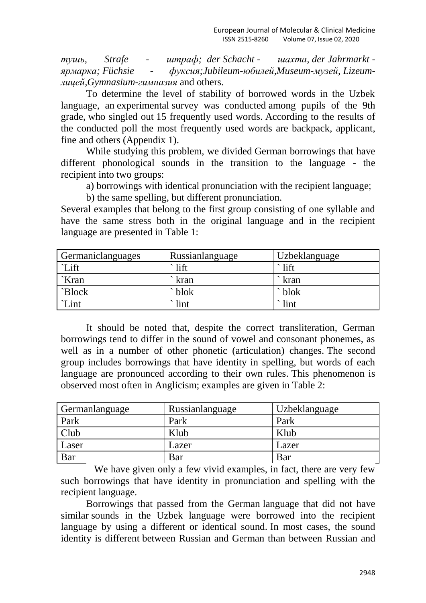*тушь, Strafe - штраф; der Schacht - шахта, der Jahrmarkt ярмарка; Füchsie - фуксия;Jubileum-юбилей,Museum-музей, Lizeumлицей,Gymnasium-гимназия* and others.

To determine the level of stability of borrowed words in the Uzbek language, an experimental survey was conducted among pupils of the 9th grade, who singled out 15 frequently used words. According to the results of the conducted poll the most frequently used words are backpack, applicant, fine and others (Appendix 1).

While studying this problem, we divided German borrowings that have different phonological sounds in the transition to the language - the recipient into two groups:

a) borrowings with identical pronunciation with the recipient language;

b) the same spelling, but different pronunciation.

Several examples that belong to the first group consisting of one syllable and have the same stress both in the original language and in the recipient language are presented in Table 1:

| Germaniclanguages | Russianlanguage   | <b>Uzbeklanguage</b> |
|-------------------|-------------------|----------------------|
| `Lift             | lift              | $\cdot$ lift         |
| `Kran             | kran              | ` kran               |
| `Block            | blok <sup>-</sup> | $\Delta$ blok        |
| `Lint             | lint              | $\cdot$ lint         |

It should be noted that, despite the correct transliteration, German borrowings tend to differ in the sound of vowel and consonant phonemes, as well as in a number of other phonetic (articulation) changes. The second group includes borrowings that have identity in spelling, but words of each language are pronounced according to their own rules. This phenomenon is observed most often in Anglicism; examples are given in Table 2:

| Germanlanguage | Russianlanguage | Uzbeklanguage |
|----------------|-----------------|---------------|
| Park           | Park            | Park          |
| Club           | Klub            | Klub          |
| Laser          | Lazer           | Lazer         |
| Bar            | Bar             | Bar           |

We have given only a few vivid examples, in fact, there are very few such borrowings that have identity in pronunciation and spelling with the recipient language.

Borrowings that passed from the German language that did not have similar sounds in the Uzbek language were borrowed into the recipient language by using a different or identical sound. In most cases, the sound identity is different between Russian and German than between Russian and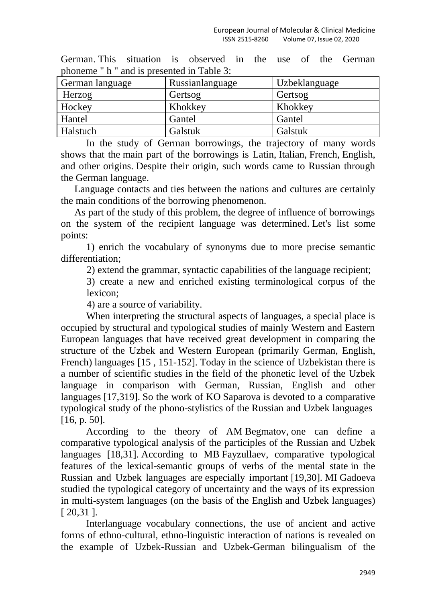| profieme in and is presented in Table 5. |                 |               |  |
|------------------------------------------|-----------------|---------------|--|
| German language                          | Russianlanguage | Uzbeklanguage |  |
| Herzog                                   | Gertsog         | Gertsog       |  |
| Hockey                                   | Khokkey         | Khokkey       |  |
| Hantel                                   | Gantel          | Gantel        |  |
| <b>Halstuch</b>                          | Galstuk         | Galstuk       |  |
|                                          |                 |               |  |

German. This situation is observed in the use of the German phoneme " h " and is presented in Table 3:

In the study of German borrowings, the trajectory of many words shows that the main part of the borrowings is Latin, Italian, French, English, and other origins. Despite their origin, such words came to Russian through the German language.

Language contacts and ties between the nations and cultures are certainly the main conditions of the borrowing phenomenon.

As part of the study of this problem, the degree of influence of borrowings on the system of the recipient language was determined. Let's list some points:

1) enrich the vocabulary of synonyms due to more precise semantic differentiation;

2) extend the grammar, syntactic capabilities of the language recipient;

3) create a new and enriched existing terminological corpus of the lexicon;

4) are a source of variability.

When interpreting the structural aspects of languages, a special place is occupied by structural and typological studies of mainly Western and Eastern European languages that have received great development in comparing the structure of the Uzbek and Western European (primarily German, English, French) languages [15 , 151-152]. Today in the science of Uzbekistan there is a number of scientific studies in the field of the phonetic level of the Uzbek language in comparison with German, Russian, English and other languages [17,319]. So the work of KO Saparova is devoted to a comparative typological study of the phono-stylistics of the Russian and Uzbek languages [16, p. 50].

According to the theory of AM Begmatov, one can define a comparative typological analysis of the participles of the Russian and Uzbek languages [18,31]. According to MB Fayzullaev, comparative typological features of the lexical-semantic groups of verbs of the mental state in the Russian and Uzbek languages are especially important [19,30]. MI Gadoeva studied the typological category of uncertainty and the ways of its expression in multi-system languages (on the basis of the English and Uzbek languages) [ 20,31 ].

Interlanguage vocabulary connections, the use of ancient and active forms of ethno-cultural, ethno-linguistic interaction of nations is revealed on the example of Uzbek-Russian and Uzbek-German bilingualism of the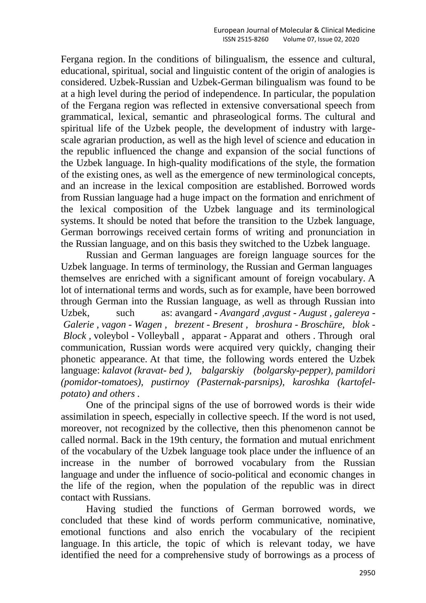Fergana region. In the conditions of bilingualism, the essence and cultural, educational, spiritual, social and linguistic content of the origin of analogies is considered. Uzbek-Russian and Uzbek-German bilingualism was found to be at a high level during the period of independence. In particular, the population of the Fergana region was reflected in extensive conversational speech from grammatical, lexical, semantic and phraseological forms. The cultural and spiritual life of the Uzbek people, the development of industry with largescale agrarian production, as well as the high level of science and education in the republic influenced the change and expansion of the social functions of the Uzbek language. In high-quality modifications of the style, the formation of the existing ones, as well as the emergence of new terminological concepts, and an increase in the lexical composition are established. Borrowed words from Russian language had a huge impact on the formation and enrichment of the lexical composition of the Uzbek language and its terminological systems. It should be noted that before the transition to the Uzbek language, German borrowings received certain forms of writing and pronunciation in the Russian language, and on this basis they switched to the Uzbek language.

Russian and German languages are foreign language sources for the Uzbek language. In terms of terminology, the Russian and German languages themselves are enriched with a significant amount of foreign vocabulary. A lot of international terms and words, such as for example, have been borrowed through German into the Russian language, as well as through Russian into Uzbek, such as: avangard *- Avangard ,avgust - August , galereya - Galerie , vagon - Wagen , brezent - Bresent , broshura - Broschüre, blok - Block ,* voleybol - Volleyball , apparat - Apparat and others . Through oral communication, Russian words were acquired very quickly, changing their phonetic appearance. At that time, the following words entered the Uzbek language: *kalavot (kravat- bed ), balgarskiy (bolgarsky-pepper), pamildori (pomidor-tomatoes), pustirnoy (Pasternak-parsnips), karoshka (kartofelpotato) and others .*

One of the principal signs of the use of borrowed words is their wide assimilation in speech, especially in collective speech. If the word is not used, moreover, not recognized by the collective, then this phenomenon cannot be called normal. Back in the 19th century, the formation and mutual enrichment of the vocabulary of the Uzbek language took place under the influence of an increase in the number of borrowed vocabulary from the Russian language and under the influence of socio-political and economic changes in the life of the region, when the population of the republic was in direct contact with Russians.

Having studied the functions of German borrowed words, we concluded that these kind of words perform communicative, nominative, emotional functions and also enrich the vocabulary of the recipient language. In this article, the topic of which is relevant today, we have identified the need for a comprehensive study of borrowings as a process of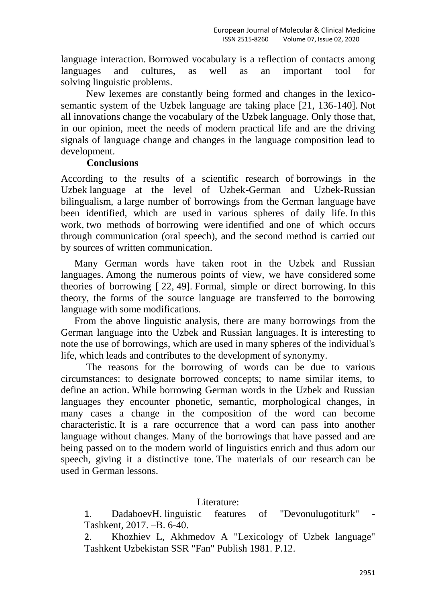language interaction. Borrowed vocabulary is a reflection of contacts among languages and cultures, as well as an important tool for solving linguistic problems.

New lexemes are constantly being formed and changes in the lexicosemantic system of the Uzbek language are taking place [21, 136-140]. Not all innovations change the vocabulary of the Uzbek language. Only those that, in our opinion, meet the needs of modern practical life and are the driving signals of language change and changes in the language composition lead to development.

## **Conclusions**

According to the results of a scientific research of borrowings in the Uzbek language at the level of Uzbek-German and Uzbek-Russian bilingualism, a large number of borrowings from the German language have been identified, which are used in various spheres of daily life. In this work, two methods of borrowing were identified and one of which occurs through communication (oral speech), and the second method is carried out by sources of written communication.

Many German words have taken root in the Uzbek and Russian languages. Among the numerous points of view, we have considered some theories of borrowing [ 22, 49]. Formal, simple or direct borrowing. In this theory, the forms of the source language are transferred to the borrowing language with some modifications.

From the above linguistic analysis, there are many borrowings from the German language into the Uzbek and Russian languages. It is interesting to note the use of borrowings, which are used in many spheres of the individual's life, which leads and contributes to the development of synonymy.

The reasons for the borrowing of words can be due to various circumstances: to designate borrowed concepts; to name similar items, to define an action. While borrowing German words in the Uzbek and Russian languages they encounter phonetic, semantic, morphological changes, in many cases a change in the composition of the word can become characteristic. It is a rare occurrence that a word can pass into another language without changes. Many of the borrowings that have passed and are being passed on to the modern world of linguistics enrich and thus adorn our speech, giving it a distinctive tone. The materials of our research can be used in German lessons.

Literature:

1. DadaboevH. linguistic features of "Devonulugotiturk" Tashkent, 2017. –B. 6-40.

2. Khozhiev L, Akhmedov A "Lexicology of Uzbek language" Tashkent Uzbekistan SSR "Fan" Publish 1981. P.12.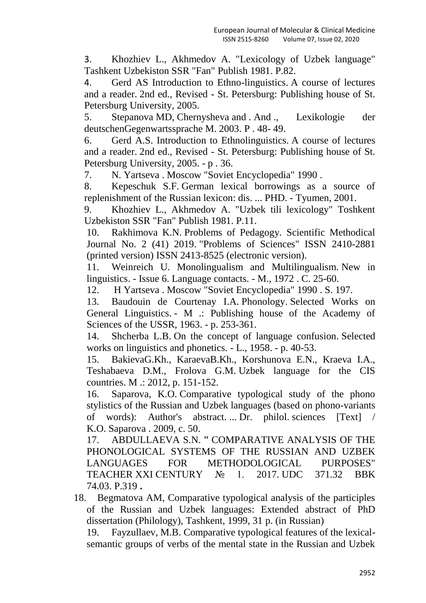3. Khozhiev L., Akhmedov A. "Lexicology of Uzbek language" Tashkent Uzbekiston SSR "Fan" Publish 1981. P.82.

4. Gerd AS Introduction to Ethno-linguistics. A course of lectures and a reader. 2nd ed., Revised - St. Petersburg: Publishing house of St. Petersburg University, 2005.

5. Stepanova MD, Chernysheva and . And ., Lexikologie der deutschenGegenwartssprache M. 2003. P . 48- 49.

6. Gerd A.S. Introduction to Ethnolinguistics. A course of lectures and a reader. 2nd ed., Revised - St. Petersburg: Publishing house of St. Petersburg University, 2005. - p . 36.

7. N. Yartseva . Moscow "Soviet Encyclopedia" 1990 .

8. Kepeschuk S.F. German lexical borrowings as a source of replenishment of the Russian lexicon: dis. ... PHD. - Tyumen, 2001.

9. Khozhiev L., Akhmedov A. "Uzbek tili lexicology" Toshkent Uzbekiston SSR "Fan" Publish 1981. P.11.

10. Rakhimova K.N. Problems of Pedagogy. Scientific Methodical Journal No. 2 (41) 2019. "Problems of Sciences" ISSN 2410-2881 (printed version) ISSN 2413-8525 (electronic version).

11. Weinreich U. Monolingualism and Multilingualism. New in linguistics. - Issue 6. Language contacts. - M., 1972 . C. 25-60.

12. H Yartseva . Moscow "Soviet Encyclopedia" 1990 . S. 197.

13. Baudouin de Courtenay I.A. Phonology. Selected Works on General Linguistics. - M .: Publishing house of the Academy of Sciences of the USSR, 1963. - p. 253-361.

14. Shcherba L.B. On the concept of language confusion. Selected works on linguistics and phonetics. - L., 1958. - p. 40-53.

15. BakievaG.Kh., KaraevaB.Kh., Korshunova E.N., Kraeva I.A., Teshabaeva D.M., Frolova G.M. Uzbek language for the CIS countries. M .: 2012, p. 151-152.

16. Saparova, K.O. Comparative typological study of the phono stylistics of the Russian and Uzbek languages (based on phono-variants of words): Author's abstract. ... Dr. philol. sciences [Text] / K.O. Saparova . 2009, c. 50.

17. ABDULLAEVA S.N. **"** COMPARATIVE ANALYSIS OF THE PHONOLOGICAL SYSTEMS OF THE RUSSIAN AND UZBEK LANGUAGES FOR METHODOLOGICAL PURPOSES" TEACHER XXI CENTURY № 1. 2017. UDC 371.32 BBK 74.03. P.319 **.**

18. Begmatova AM, Comparative typological analysis of the participles of the Russian and Uzbek languages: Extended abstract of PhD dissertation (Philology), Tashkent, 1999, 31 p. (in Russian)

19. Fayzullaev, M.B. Comparative typological features of the lexicalsemantic groups of verbs of the mental state in the Russian and Uzbek